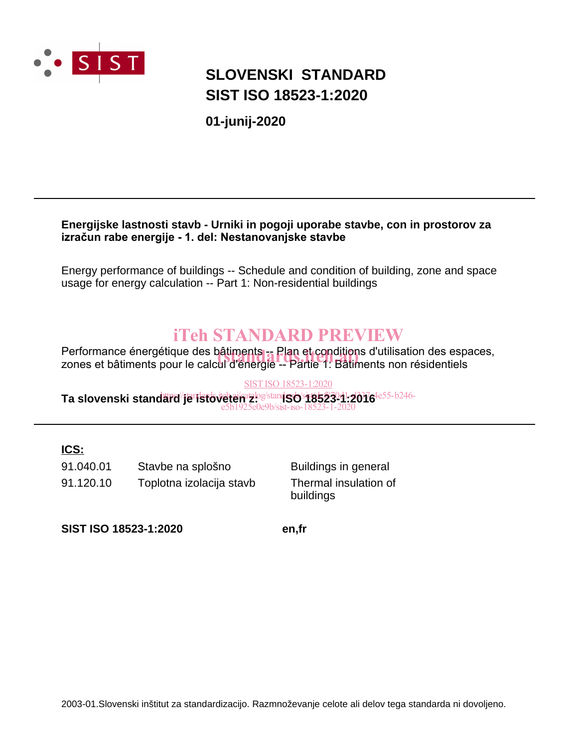

## **SLOVENSKI STANDARD SIST ISO 18523-1:2020**

**01-junij-2020**

#### **Energijske lastnosti stavb - Urniki in pogoji uporabe stavbe, con in prostorov za izračun rabe energije - 1. del: Nestanovanjske stavbe**

Energy performance of buildings -- Schedule and condition of building, zone and space usage for energy calculation -- Part 1: Non-residential buildings

## iTeh STANDARD PREVIEW

Performance énergétique des bâtiments -- Plan et conditions d'utilisation des espaces,<br>zones et bâtiments pour le calcul d'énergie -- Partie 1: Bâtiments non résidentiels zones et bâtiments pour le calcul d'énergie -- Partie 1: Bâtiments non résidentiels

#### Ta slovenski stand<del>ard/je istoveten z og stands</del>o 1852391-2016<sup>4e55-b246-</sup> SIST ISO 18523-1:2020 e5b1925e0e9b/sist-iso-18523-1-2020

#### **ICS:**

91.040.01 Stavbe na splošno Buildings in general 91.120.10 Toplotna izolacija stavb Thermal insulation of

buildings

**SIST ISO 18523-1:2020 en,fr**

2003-01.Slovenski inštitut za standardizacijo. Razmnoževanje celote ali delov tega standarda ni dovoljeno.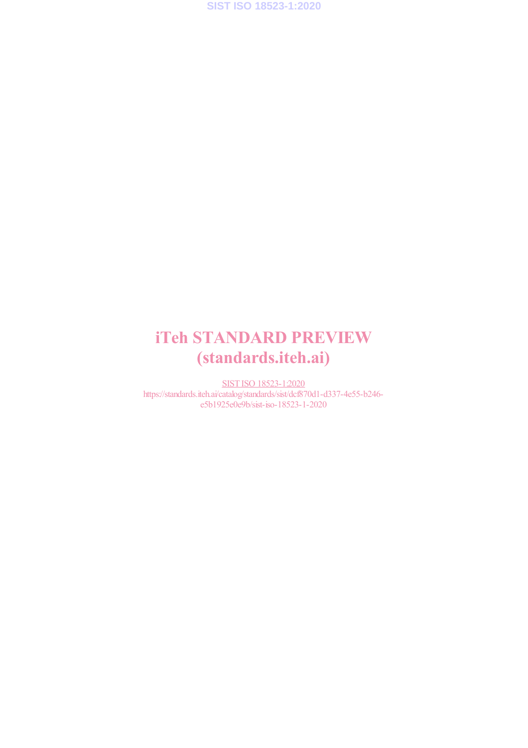**SIST ISO 18523-1:2020**

## iTeh STANDARD PREVIEW (standards.iteh.ai)

SIST ISO 18523-1:2020 https://standards.iteh.ai/catalog/standards/sist/dcf870d1-d337-4e55-b246 e5b1925e0e9b/sist-iso-18523-1-2020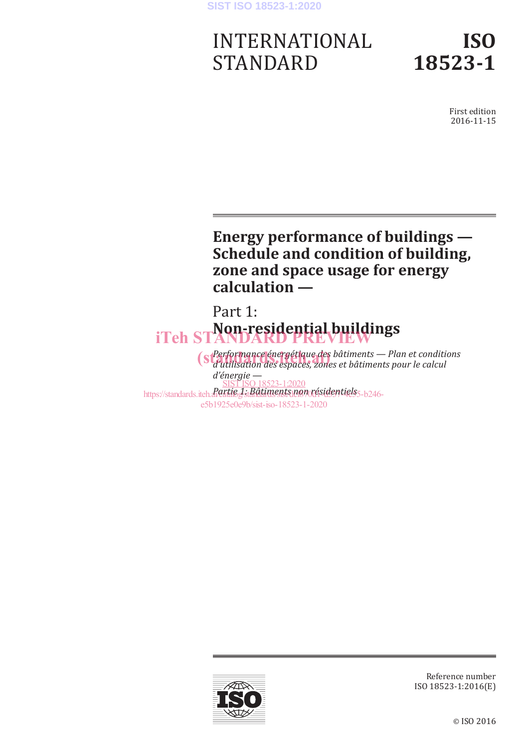#### **SIST ISO 18523-1:2020**

# INTERNATIONAL STANDARD

## **ISO 18523-1**

First edition 2016-11-15

## **Energy performance of buildings — Schedule and condition of building, zone and space usage for energy calculation —**

Part 1: **Non-residential buildings** iTeh STANDARD PREVIEW

*Performance énergétique des bâtiments — Plan et conditions (s Performance énergétique des bâtiments — Plan et conditional des espaces, zones et bâtiments pour le calcul d'énergie*  https://standards.iteh.*a<sup>n</sup>dxtie* J<sub>st</sub>Bâtiments non résidentiels<sub>5-b246-</sub> SIST ISO 18523-1:2020 e5b1925e0e9b/sist-iso-18523-1-2020



Reference number ISO 18523-1:2016(E)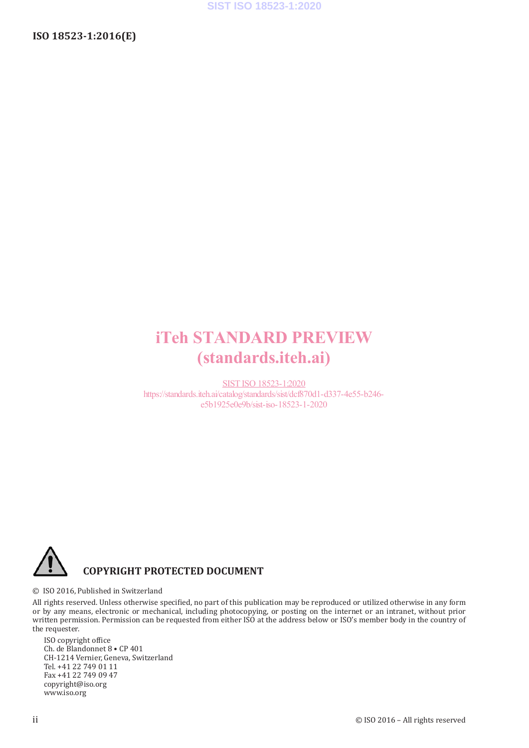## iTeh STANDARD PREVIEW (standards.iteh.ai)

SIST ISO 18523-1:2020 https://standards.iteh.ai/catalog/standards/sist/dcf870d1-d337-4e55-b246 e5b1925e0e9b/sist-iso-18523-1-2020



#### © ISO 2016, Published in Switzerland

All rights reserved. Unless otherwise specified, no part of this publication may be reproduced or utilized otherwise in any form or by any means, electronic or mechanical, including photocopying, or posting on the internet or an intranet, without prior written permission. Permission can be requested from either ISO at the address below or ISO's member body in the country of the requester.

ISO copyright office Ch. de Blandonnet 8 • CP 401 CH-1214 Vernier, Geneva, Switzerland Tel. +41 22 749 01 11 Fax +41 22 749 09 47 copyright@iso.org www.iso.org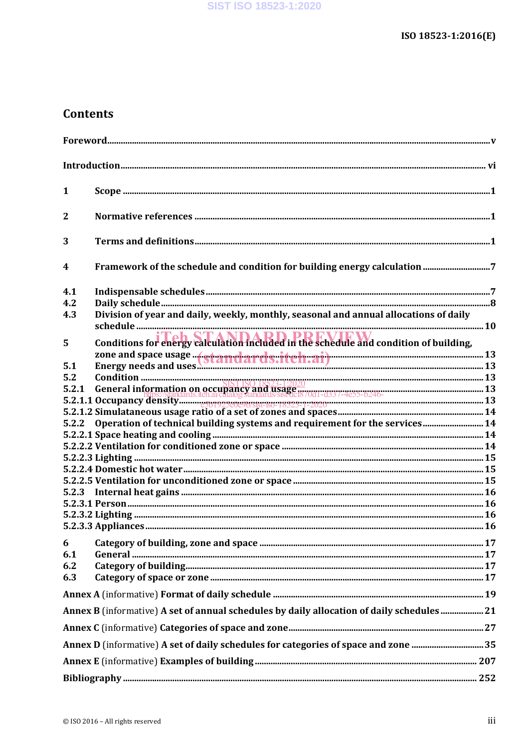### **Contents**

| $\mathbf{1}$            |                                                                                            |  |
|-------------------------|--------------------------------------------------------------------------------------------|--|
| $\overline{2}$          |                                                                                            |  |
| 3                       |                                                                                            |  |
| $\overline{\mathbf{4}}$ |                                                                                            |  |
| 4.1                     |                                                                                            |  |
| 4.2                     |                                                                                            |  |
| 4.3                     | Division of year and daily, weekly, monthly, seasonal and annual allocations of daily      |  |
| 5                       |                                                                                            |  |
| 5.1                     |                                                                                            |  |
| 5.2                     |                                                                                            |  |
|                         |                                                                                            |  |
|                         |                                                                                            |  |
|                         |                                                                                            |  |
|                         |                                                                                            |  |
| 5.2.2                   | Operation of technical building systems and requirement for the services 14                |  |
|                         |                                                                                            |  |
|                         |                                                                                            |  |
|                         |                                                                                            |  |
|                         |                                                                                            |  |
|                         |                                                                                            |  |
| 5.2.3                   |                                                                                            |  |
|                         |                                                                                            |  |
|                         |                                                                                            |  |
|                         |                                                                                            |  |
| 6                       |                                                                                            |  |
| 6.1                     |                                                                                            |  |
| 6.2                     |                                                                                            |  |
| 6.3                     |                                                                                            |  |
|                         |                                                                                            |  |
|                         | Annex B (informative) A set of annual schedules by daily allocation of daily schedules  21 |  |
|                         |                                                                                            |  |
|                         | Annex D (informative) A set of daily schedules for categories of space and zone 35         |  |
|                         |                                                                                            |  |
|                         |                                                                                            |  |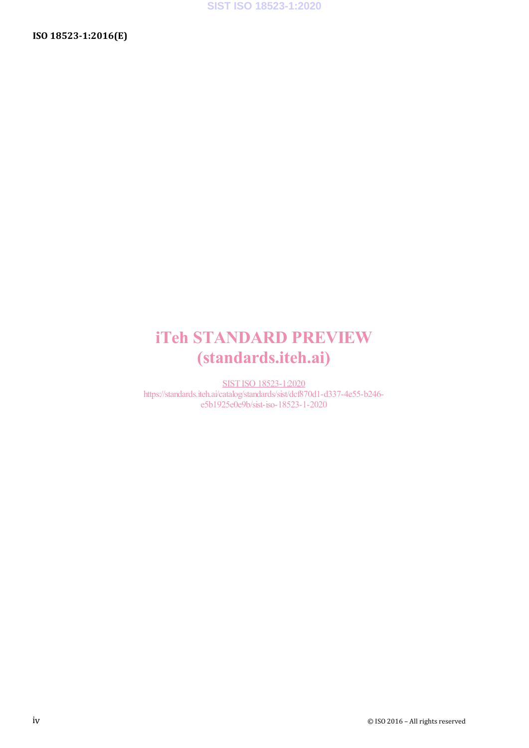## iTeh STANDARD PREVIEW (standards.iteh.ai)

SIST ISO 18523-1:2020 https://standards.iteh.ai/catalog/standards/sist/dcf870d1-d337-4e55-b246 e5b1925e0e9b/sist-iso-18523-1-2020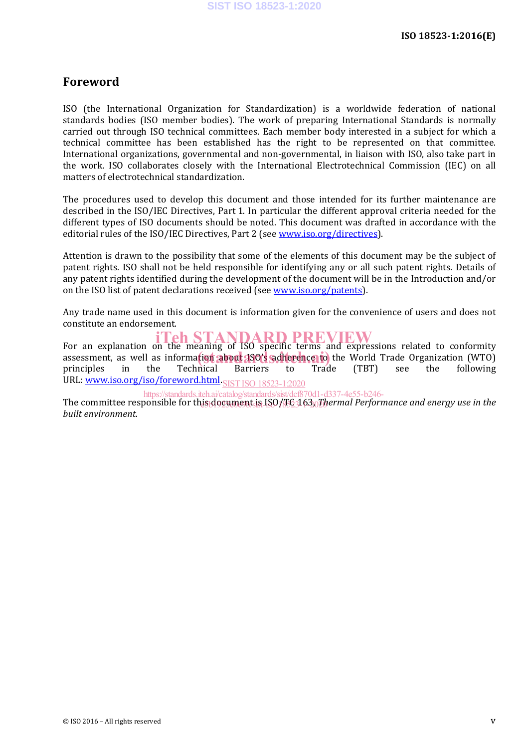#### **Foreword**

ISO (the International Organization for Standardization) is a worldwide federation of national standards bodies (ISO member bodies). The work of preparing International Standards is normally carried out through ISO technical committees. Each member body interested in a subject for which a technical committee has been established has the right to be represented on that committee. International organizations, governmental and non-governmental, in liaison with ISO, also take part in the work. ISO collaborates closely with the International Electrotechnical Commission (IEC) on all matters of electrotechnical standardization.

The procedures used to develop this document and those intended for its further maintenance are described in the ISO/IEC Directives. Part 1. In particular the different approval criteria needed for the different types of ISO documents should be noted. This document was drafted in accordance with the editorial rules of the ISO/IEC Directives, Part 2 (see www.iso.org/directives).

Attention is drawn to the possibility that some of the elements of this document may be the subject of patent rights. ISO shall not be held responsible for identifying any or all such patent rights. Details of any patent rights identified during the development of the document will be in the Introduction and/or on the ISO list of patent declarations received (see www.iso.org/patents).

Any trade name used in this document is information given for the convenience of users and does not constitute an endorsement.

For an explanation on the meaning of ISO specific terms and expressions related to conformity assessment, as well as information about 1800's adherence to the World Trade Organization (WTO) principles in the Technical Barriers to Trade (TBT) see the following URL: <u>www.iso.org/iso/foreword.html<sub>.SIST ISO 18523-1:2020</u></u></sub>

The committee responsible for th<u>is<sub>i</sub>document is ISO/TG3</u>163<sub>.0</sub>Thermal Performance and energy use in the *built environment*. https://standards.iteh.ai/catalog/standards/sist/dcf870d1-d337-4e55-b246-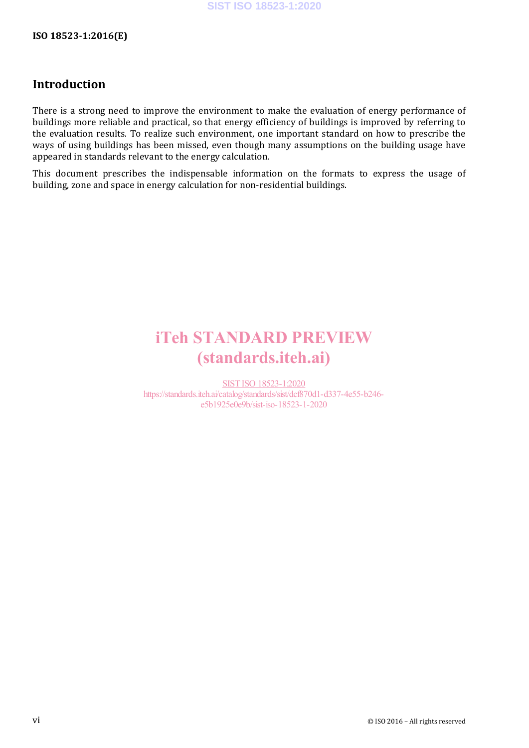### **Introduction**

There is a strong need to improve the environment to make the evaluation of energy performance of buildings more reliable and practical, so that energy efficiency of buildings is improved by referring to the evaluation results. To realize such environment, one important standard on how to prescribe the ways of using buildings has been missed, even though many assumptions on the building usage have appeared in standards relevant to the energy calculation.

This document prescribes the indispensable information on the formats to express the usage of building, zone and space in energy calculation for non-residential buildings.

## iTeh STANDARD PREVIEW (standards.iteh.ai)

SIST ISO 18523-1:2020 https://standards.iteh.ai/catalog/standards/sist/dcf870d1-d337-4e55-b246 e5b1925e0e9b/sist-iso-18523-1-2020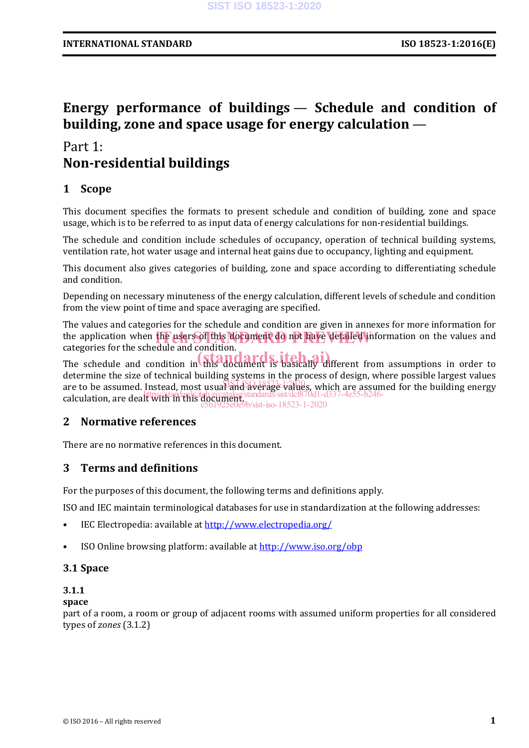### **Energy performance of buildings — Schedule and condition of building, zone and space usage for energy calculation** —

### Part 1: **Non-residential buildings**

#### **1 Scope**

This document specifies the formats to present schedule and condition of building, zone and space usage, which is to be referred to as input data of energy calculations for non-residential buildings.

The schedule and condition include schedules of occupancy, operation of technical building systems, ventilation rate, hot water usage and internal heat gains due to occupancy, lighting and equipment.

This document also gives categories of building, zone and space according to differentiating schedule and condition.

Depending on necessary minuteness of the energy calculation, different levels of schedule and condition from the view point of time and space averaging are specified.

The values and categories for the schedule and condition are given in annexes for more information for the application when the users of this document do not have detailed information on the values and categories for the schedule and condition.

The schedule and condition in  $\begin{bmatrix} \text{tand order} \\ \text{tand order} \end{bmatrix}$  is basically different from assumptions in order to determine the size of technical building systems in the process of design, where possible largest values are to be assumed. Instead, most usual and average values, which are assumed for the building energy are to be assumed mission and the manifolder standards. Sist/dcf870d1-d337-4e55-b246-<br>calculation, are dealt with in this document.  $\sqrt{\text{sist-iso}} - 18523 - 1 - 2020$ 

#### **2 Normative references**

There are no normative references in this document.

#### **3 Terms and definitions**

For the purposes of this document, the following terms and definitions apply.

ISO and IEC maintain terminological databases for use in standardization at the following addresses:

- IEC Electropedia: available at http://www.electropedia.org/
- ISO Online browsing platform: available at http://www.iso.org/obp

#### **3.1 Space**

#### **3.1.1**

#### **space**

part of a room, a room or group of adjacent rooms with assumed uniform properties for all considered types of *zones* (3.1.2)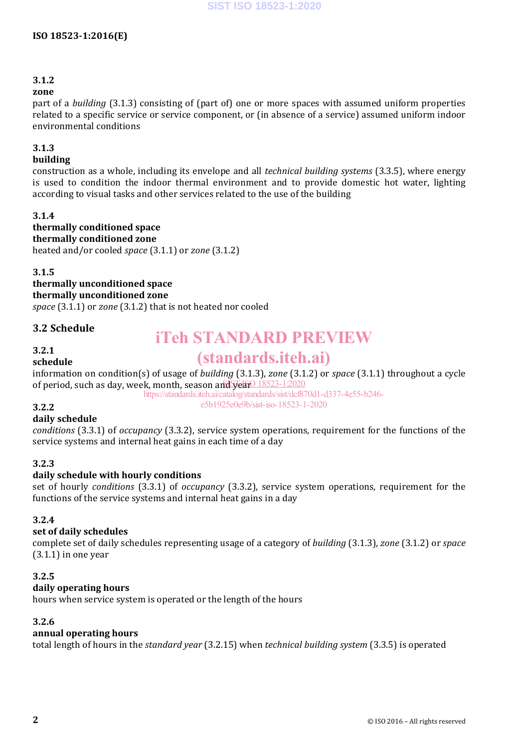#### **3.1.2**

#### **zone**

part of a *building* (3.1.3) consisting of (part of) one or more spaces with assumed uniform properties related to a specific service or service component, or (in absence of a service) assumed uniform indoor environmental conditions

#### **3.1.3**

#### **building**

construction as a whole, including its envelope and all *technical building systems* (3.3.5), where energy is used to condition the indoor thermal environment and to provide domestic hot water, lighting according to visual tasks and other services related to the use of the building

#### **3.1.4**

**thermally conditioned space thermally conditioned zone**  heated and/or cooled *space* (3.1.1) or *zone* (3.1.2)

#### **3.1.5**

**thermally unconditioned space thermally unconditioned zone** 

*space* (3.1.1) or *zone* (3.1.2) that is not heated nor cooled

#### **3.2 Schedule**

#### **3.2.1**

#### **schedule**

## iTeh STANDARD PREVIEW

## (standards.iteh.ai)

information on condition(s) of usage of *building* (3.1.3), *zone* (3.1.2) or *space* (3.1.1) throughout a cycle of period, such as day, week, month, season and year 18523-12020

https://standards.iteh.ai/catalog/standards/sist/dcf870d1-d337-4e55-b246-

#### e5b1925e0e9b/sist-iso-18523-1-2020

#### **3.2.2 daily schedule**

*conditions* (3.3.1) of *occupancy* (3.3.2), service system operations, requirement for the functions of the service systems and internal heat gains in each time of a day

#### **3.2.3**

#### **daily schedule with hourly conditions**

set of hourly *conditions* (3.3.1) of *occupancy* (3.3.2), service system operations, requirement for the functions of the service systems and internal heat gains in a day

#### **3.2.4**

#### **set of daily schedules**

complete set of daily schedules representing usage of a category of *building* (3.1.3), *zone* (3.1.2) or *space*  $(3.1.1)$  in one year

#### **3.2.5**

#### **daily operating hours**

hours when service system is operated or the length of the hours

#### **3.2.6**

#### **annual operating hours**

total length of hours in the *standard year* (3.2.15) when *technical building system* (3.3.5) is operated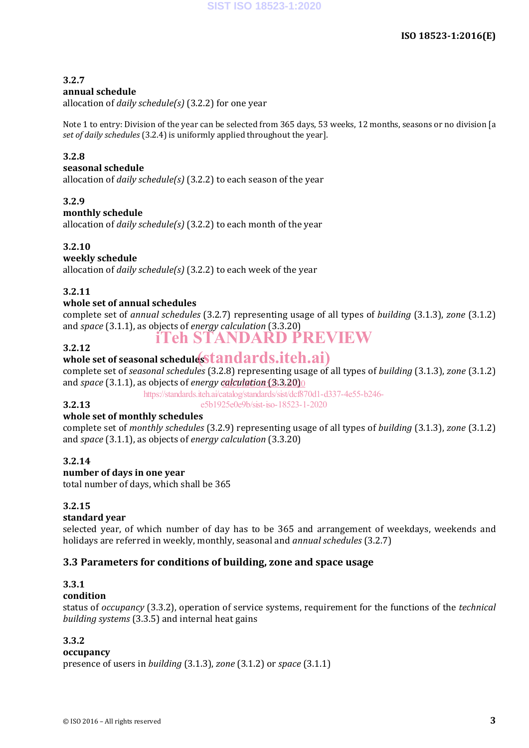#### **3.2.7**

#### **annual schedule**

allocation of *daily schedule(s)* (3.2.2) for one year

Note 1 to entry: Division of the year can be selected from 365 days, 53 weeks, 12 months, seasons or no division [a *set of daily schedules* (3.2.4) is uniformly applied throughout the year].

#### **3.2.8**

#### **seasonal schedule**

allocation of *daily schedule(s)* (3.2.2) to each season of the year

#### **3.2.9**

#### **monthly schedule**

allocation of *daily schedule(s)* (3.2.2) to each month of the year

#### **3.2.10**

#### **weekly schedule**

allocation of *daily schedule(s)* (3.2.2) to each week of the year

#### **3.2.11**

#### **whole set of annual schedules**

complete set of *annual schedules* (3.2.7) representing usage of all types of *building* (3.1.3), *zone* (3.1.2) and *space* (3.1.1), as objects of *energy calculation* (3.3.20) iTeh STANDARD PREVIEW

#### **3.2.12**

**3.2.13** 

## 3.2.12<br>whole set of seasonal schedule<mark>sStandards.iteh.ai</mark>)

complete set of *seasonal schedules* (3.2.8) representing usage of all types of *building* (3.1.3), *zone* (3.1.2) and *space* (3.1.1), as objects of *energy calculation* (3.3.20)<sup>0</sup>

https://standards.iteh.ai/catalog/standards/sist/dcf870d1-d337-4e55-b246-

e5b1925e0e9b/sist-iso-18523-1-2020

#### **whole set of monthly schedules**

complete set of *monthly schedules* (3.2.9) representing usage of all types of *building* (3.1.3), *zone* (3.1.2) and *space* (3.1.1), as objects of *energy calculation* (3.3.20)

#### **3.2.14**

#### **number of days in one year**

total number of days, which shall be 365

#### **3.2.15**

#### **standard year**

selected year, of which number of day has to be 365 and arrangement of weekdays, weekends and holidays are referred in weekly, monthly, seasonal and *annual schedules* (3.2.7)

#### **3.3 Parameters for conditions of building, zone and space usage**

#### **3.3.1**

#### **condition**

status of *occupancy* (3.3.2), operation of service systems, requirement for the functions of the *technical building systems* (3.3.5) and internal heat gains

#### **3.3.2**

#### **occupancy**

presence of users in *building* (3.1.3), *zone* (3.1.2) or *space* (3.1.1)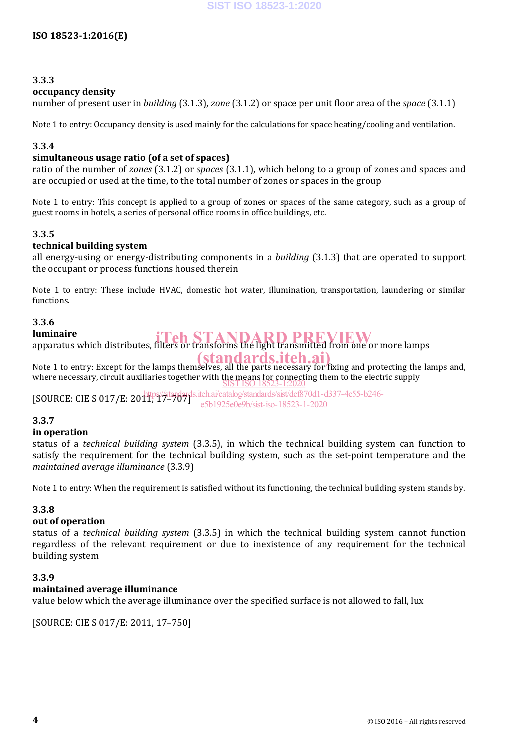#### **3.3.3**

#### **occupancy density**

number of present user in *building* (3.1.3), *zone* (3.1.2) or space per unit floor area of the *space* (3.1.1)

Note 1 to entry: Occupancy density is used mainly for the calculations for space heating/cooling and ventilation.

#### **3.3.4**

#### **simultaneous usage ratio (of a set of spaces)**

ratio of the number of *zones* (3.1.2) or *spaces* (3.1.1), which belong to a group of zones and spaces and are occupied or used at the time, to the total number of zones or spaces in the group

Note 1 to entry: This concept is applied to a group of zones or spaces of the same category, such as a group of guest rooms in hotels, a series of personal office rooms in office buildings, etc.

#### **3.3.5**

#### **technical building system**

all energy-using or energy-distributing components in a *building* (3.1.3) that are operated to support the occupant or process functions housed therein

Note 1 to entry: These include HVAC, domestic hot water, illumination, transportation, laundering or similar functions. 

#### **3.3.6**

#### **luminaire**

**luminaire**<br>apparatus which distributes, filters or transforms the light transmitted from one or more lamps

Note 1 to entry: Except for the lamps themselves, all the parts necessary for fixing and protecting the lamps and, where necessary, circuit auxiliaries together with the means for connecting them to the electric supply SIST ISO 18523-1:2020

 $[ \text{SOURCE: CIE S 017/E: } 2011, 17-707 ]$ https://standards.iteh.ai/catalog/standards/sist/dcf870d1-d337-4e55-b246 e5b1925e0e9b/sist-iso-18523-1-2020

#### **3.3.7**

#### **in operation**

status of a *technical building system* (3.3.5), in which the technical building system can function to satisfy the requirement for the technical building system, such as the set-point temperature and the *maintained average illuminance* (3.3.9) 

Note 1 to entry: When the requirement is satisfied without its functioning, the technical building system stands by.

#### **3.3.8**

#### **out of operation**

status of a *technical building system* (3.3.5) in which the technical building system cannot function regardless of the relevant requirement or due to inexistence of any requirement for the technical building system

#### **3.3.9**

#### **maintained average illuminance**

value below which the average illuminance over the specified surface is not allowed to fall, lux

[SOURCE: CIE S 017/E: 2011, 17-750]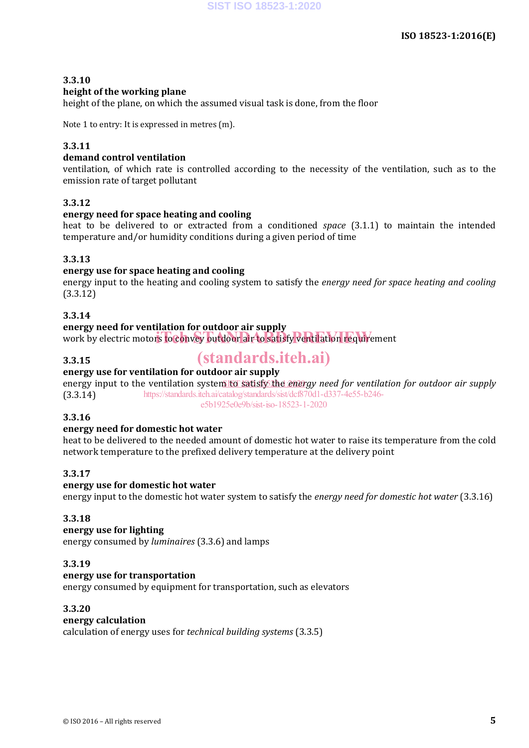#### **3.3.10 height of the working plane**

height of the plane, on which the assumed visual task is done, from the floor

Note 1 to entry: It is expressed in metres  $(m)$ .

#### **3.3.11**

#### **demand control ventilation**

ventilation, of which rate is controlled according to the necessity of the ventilation, such as to the emission rate of target pollutant

#### **3.3.12**

#### **energy need for space heating and cooling**

heat to be delivered to or extracted from a conditioned *space* (3.1.1) to maintain the intended temperature and/or humidity conditions during a given period of time

#### **3.3.13**

#### **energy use for space heating and cooling**

energy input to the heating and cooling system to satisfy the *energy need for space heating and cooling* (3.3.12) 

#### **3.3.14**

#### **energy need for ventilation for outdoor air supply**

energy need for ventifiation for outdoor air supply<br>work by electric motors to convey outdoor air to satisfy ventilation requirement

#### **3.3.15**

## (standards.iteh.ai)

#### **energy use for ventilation for outdoor air supply**

energy input to the ventilation system to satisfy the energy need for ventilation for outdoor air supply (3.3.14) https://standards.iteh.ai/catalog/standards/sist/dcf870d1-d337-4e55-b246 e5b1925e0e9b/sist-iso-18523-1-2020

#### **3.3.16**

#### **energy need for domestic hot water**

heat to be delivered to the needed amount of domestic hot water to raise its temperature from the cold network temperature to the prefixed delivery temperature at the delivery point

#### **3.3.17**

#### **energy use for domestic hot water**

energy input to the domestic hot water system to satisfy the *energy need for domestic hot water* (3.3.16)

#### **3.3.18**

#### **energy use for lighting**

energy consumed by *luminaires* (3.3.6) and lamps 

#### **3.3.19**

#### **energy use for transportation**

energy consumed by equipment for transportation, such as elevators

#### **3.3.20**

#### **energy calculation**

calculation of energy uses for *technical building systems* (3.3.5)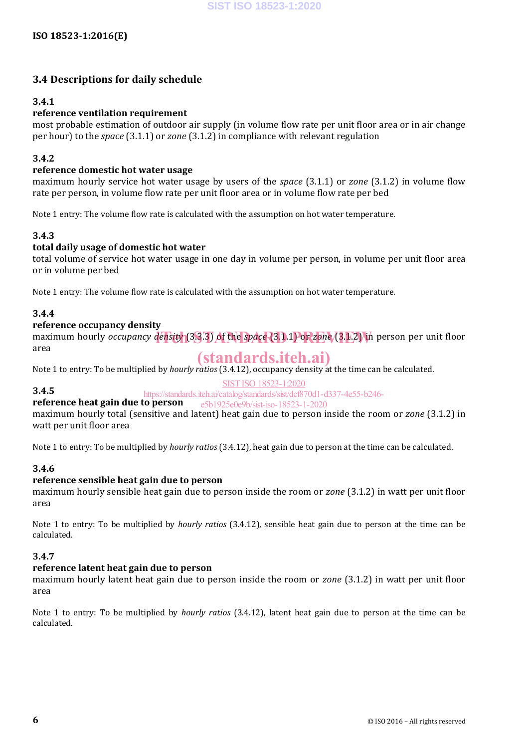#### **3.4 Descriptions for daily schedule**

#### **3.4.1**

#### **reference ventilation requirement**

most probable estimation of outdoor air supply (in volume flow rate per unit floor area or in air change per hour) to the *space* (3.1.1) or *zone* (3.1.2) in compliance with relevant regulation

#### **3.4.2**

#### **reference domestic hot water usage**

maximum hourly service hot water usage by users of the *space* (3.1.1) or *zone* (3.1.2) in volume flow rate per person, in volume flow rate per unit floor area or in volume flow rate per bed

Note 1 entry: The volume flow rate is calculated with the assumption on hot water temperature.

#### **3.4.3**

#### **total daily usage of domestic hot water**

total volume of service hot water usage in one day in volume per person, in volume per unit floor area or in volume per bed

Note 1 entry: The volume flow rate is calculated with the assumption on hot water temperature.

#### **3.4.4**

#### **reference occupancy density**

maximum hourly *occupancy* density (3.3.3) of the space (3.1.1) or *zone* (3.1.2) in person per unit floor area 

### (standards.iteh.ai)

Note 1 to entry: To be multiplied by *hourly ratios* (3.4.12), occupancy density at the time can be calculated.

#### SIST ISO 18523-1:2020

**3.4.5**  https://standards.iteh.ai/catalog/standards/sist/dcf870d1-d337-4e55-b246-

#### **reference heat gain due to person**  e5b1925e0e9b/sist-iso-18523-1-2020

maximum hourly total (sensitive and latent) heat gain due to person inside the room or *zone* (3.1.2) in watt per unit floor area

Note 1 to entry: To be multiplied by *hourly ratios* (3.4.12), heat gain due to person at the time can be calculated.

#### **3.4.6**

#### **reference sensible heat gain due to person**

maximum hourly sensible heat gain due to person inside the room or *zone* (3.1.2) in watt per unit floor area 

Note 1 to entry: To be multiplied by *hourly ratios* (3.4.12), sensible heat gain due to person at the time can be calculated. 

#### **3.4.7**

#### **reference latent heat gain due to person**

maximum hourly latent heat gain due to person inside the room or *zone* (3.1.2) in watt per unit floor area 

Note 1 to entry: To be multiplied by *hourly ratios* (3.4.12), latent heat gain due to person at the time can be calculated.